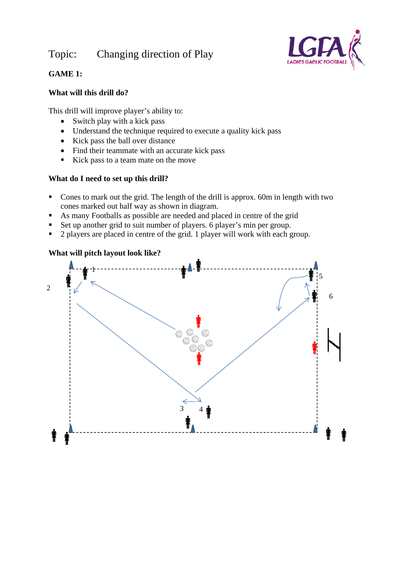# Topic: Changing direction of Play



## **GAME 1:**

#### **What will this drill do?**

This drill will improve player's ability to:

- $\bullet$  Switch play with a kick pass
- Understand the technique required to execute a quality kick pass
- Kick pass the ball over distance
- Find their teammate with an accurate kick pass
- Kick pass to a team mate on the move

### **What do I need to set up this drill?**

- Cones to mark out the grid. The length of the drill is approx. 60m in length with two cones marked out half way as shown in diagram.
- As many Footballs as possible are needed and placed in centre of the grid
- Set up another grid to suit number of players. 6 player's min per group.
- $\overrightarrow{2}$  players are placed in centre of the grid. 1 player will work with each group.

### **What will pitch layout look like?**

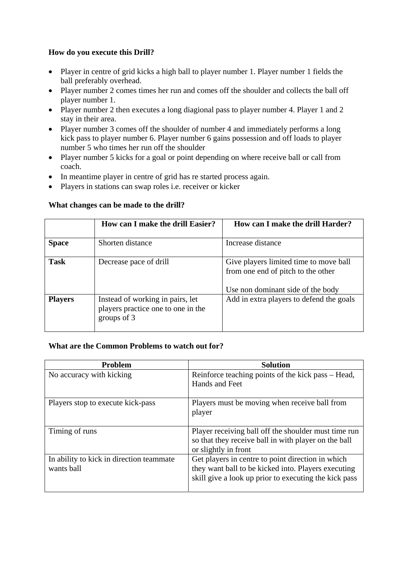#### **How do you execute this Drill?**

- Player in centre of grid kicks a high ball to player number 1. Player number 1 fields the ball preferably overhead.
- Player number 2 comes times her run and comes off the shoulder and collects the ball off player number 1.
- Player number 2 then executes a long diagional pass to player number 4. Player 1 and 2 stay in their area.
- Player number 3 comes off the shoulder of number 4 and immediately performs a long kick pass to player number 6. Player number 6 gains possession and off loads to player number 5 who times her run off the shoulder
- Player number 5 kicks for a goal or point depending on where receive ball or call from coach.
- In meantime player in centre of grid has re started process again.
- Players in stations can swap roles i.e. receiver or kicker

|                | How can I make the drill Easier?                                                      | How can I make the drill Harder?                                                                                  |
|----------------|---------------------------------------------------------------------------------------|-------------------------------------------------------------------------------------------------------------------|
| <b>Space</b>   | Shorten distance                                                                      | Increase distance                                                                                                 |
| <b>Task</b>    | Decrease pace of drill                                                                | Give players limited time to move ball<br>from one end of pitch to the other<br>Use non dominant side of the body |
| <b>Players</b> | Instead of working in pairs, let<br>players practice one to one in the<br>groups of 3 | Add in extra players to defend the goals                                                                          |

#### **What changes can be made to the drill?**

#### **What are the Common Problems to watch out for?**

| <b>Problem</b>                                         | <b>Solution</b>                                                                                                                                                   |
|--------------------------------------------------------|-------------------------------------------------------------------------------------------------------------------------------------------------------------------|
| No accuracy with kicking                               | Reinforce teaching points of the kick pass – Head,<br>Hands and Feet                                                                                              |
| Players stop to execute kick-pass                      | Players must be moving when receive ball from<br>player                                                                                                           |
| Timing of runs                                         | Player receiving ball off the shoulder must time run<br>so that they receive ball in with player on the ball<br>or slightly in front                              |
| In ability to kick in direction teammate<br>wants ball | Get players in centre to point direction in which<br>they want ball to be kicked into. Players executing<br>skill give a look up prior to executing the kick pass |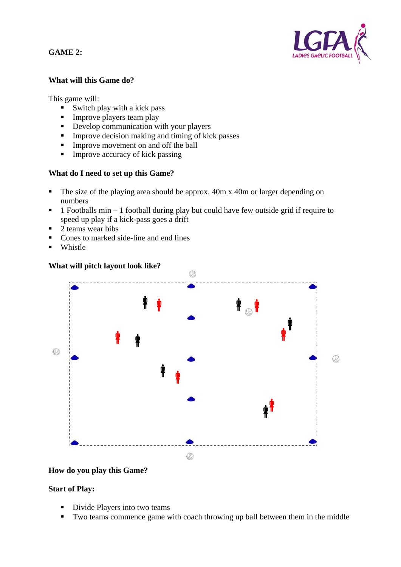**GAME 2:** 



#### **What will this Game do?**

This game will:

- $\blacksquare$  Switch play with a kick pass
- **Improve players team play**
- Develop communication with your players
- $\blacksquare$  Improve decision making and timing of kick passes
- Improve movement on and off the ball
- $\blacksquare$  Improve accuracy of kick passing

#### **What do I need to set up this Game?**

- The size of the playing area should be approx. 40m x 40m or larger depending on numbers
- $\blacksquare$  1 Footballs min 1 football during play but could have few outside grid if require to speed up play if a kick-pass goes a drift
- $\overline{2}$  teams wear bibs
- Cones to marked side-line and end lines
- **Whistle**

#### **What will pitch layout look like?**



#### **How do you play this Game?**

#### **Start of Play:**

- Divide Players into two teams
- Two teams commence game with coach throwing up ball between them in the middle